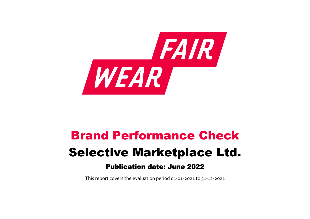

# Brand Performance Check Selective Marketplace Ltd. Publication date: June 2022

This report covers the evaluation period 01‐01‐2021 to 31‐12‐2021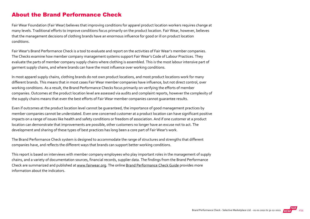#### About the Brand Performance Check

Fair Wear Foundation (Fair Wear) believes that improving conditions for apparel product location workers requires change at many levels. Traditional efforts to improve conditions focus primarily on the product location. Fair Wear, however, believes that the management decisions of clothing brands have an enormous influence for good or ill on product location conditions.

Fair Wear's Brand Performance Check is a tool to evaluate and report on the activities of Fair Wear's member companies. The Checks examine how member company management systems support Fair Wear's Code of Labour Practices. They evaluate the parts of member company supply chains where clothing is assembled. This is the most labour intensive part of garment supply chains, and where brands can have the most influence over working conditions.

In most apparel supply chains, clothing brands do not own product locations, and most product locations work for many different brands. This means that in most cases Fair Wear member companies have influence, but not direct control, over working conditions. As a result, the Brand Performance Checks focus primarily on verifying the efforts of member companies. Outcomes at the product location level are assessed via audits and complaint reports, however the complexity of the supply chains means that even the best efforts of Fair Wear member companies cannot guarantee results.

Even if outcomes at the product location level cannot be guaranteed, the importance of good management practices by member companies cannot be understated. Even one concerned customer at a product location can have significant positive impacts on a range of issues like health and safety conditions or freedom of association. And if one customer at a product location can demonstrate that improvements are possible, other customers no longer have an excuse not to act. The development and sharing of these types of best practices has long been a core part of Fair Wear's work.

The Brand Performance Check system is designed to accommodate the range of structures and strengths that different companies have, and reflects the different ways that brands can support better working conditions.

This report is based on interviews with member company employees who play important roles in the management of supply chains, and a variety of documentation sources, financial records, supplier data. The findings from the Brand Performance Check are summarized and published at [www.fairwear.org](http://www.fairwear.org/). The online [Brand Performance Check Guide](https://members.fairwear.org/resources/brand-performance-check-guide/12) provides more information about the indicators.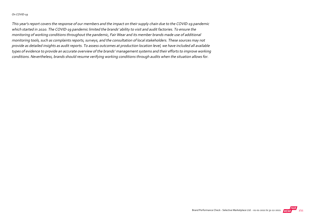#### On COVID‐19

This year's report covers the response of our members and the impact on their supply chain due to the COVID‐19 pandemic which started in 2020. The COVID‐19 pandemic limited the brands' ability to visit and audit factories. To ensure the monitoring of working conditions throughout the pandemic, Fair Wear and its member brands made use of additional monitoring tools, such as complaints reports, surveys, and the consultation of local stakeholders. These sources may not provide as detailed insights as audit reports. To assess outcomes at production location level, we have included all available types of evidence to provide an accurate overview of the brands' management systems and their efforts to improve working conditions. Nevertheless, brands should resume verifying working conditions through audits when the situation allows for.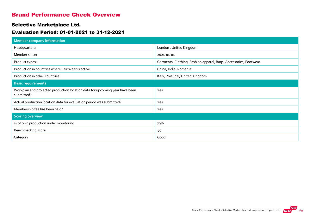#### Brand Performance Check Overview

#### Selective Marketplace Ltd.

#### Evaluation Period: 01-01-2021 to 31-12-2021

| <b>Member company information</b>                                                         |                                                                  |
|-------------------------------------------------------------------------------------------|------------------------------------------------------------------|
| Headquarters:                                                                             | London, United Kingdom                                           |
| Member since:                                                                             | 2021-01-01                                                       |
| Product types:                                                                            | Garments, Clothing, Fashion apparel, Bags, Accessories, Footwear |
| Production in countries where Fair Wear is active:                                        | China, India, Romania                                            |
| Production in other countries:                                                            | Italy, Portugal, United Kingdom                                  |
| <b>Basic requirements</b>                                                                 |                                                                  |
| Workplan and projected production location data for upcoming year have been<br>submitted? | Yes                                                              |
| Actual production location data for evaluation period was submitted?                      | Yes                                                              |
| Membership fee has been paid?                                                             | Yes                                                              |
| <b>Scoring overview</b>                                                                   |                                                                  |
| % of own production under monitoring                                                      | 79%                                                              |
| Benchmarking score                                                                        | 45                                                               |
| Category                                                                                  | Good                                                             |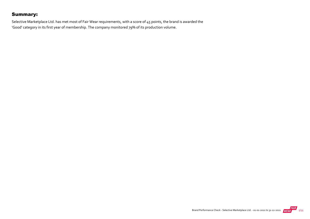#### Summary:

Selective Marketplace Ltd. has met most of Fair Wear requirements, with a score of 45 points, the brand is awarded the 'Good' category in its first year of membership. The company monitored 79% of its production volume.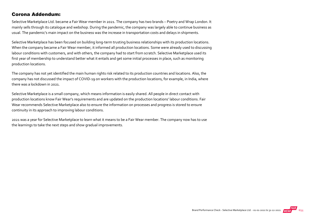#### Corona Addendum:

Selective Marketplace Ltd. became a Fair Wear member in 2021. The company has two brands – Poetry and Wrap London. It mainly sells through its catalogue and webshop. During the pandemic, the company was largely able to continue business as usual. The pandemic's main impact on the business was the increase in transportation costs and delays in shipments.

Selective Marketplace has been focused on building long-term trusting business relationships with its production locations. When the company became a Fair Wear member, it informed all production locations. Some were already used to discussing labour conditions with customers, and with others, the company had to start from scratch. Selective Marketplace used its first year of membership to understand better what it entails and get some initial processes in place, such as monitoring production locations.

The company has not yet identified the main human rights risk related to its production countries and locations. Also, the company has not discussed the impact of COVID‐19 on workers with the production locations, for example, in India, where there was a lockdown in 2021.

Selective Marketplace is a small company, which means information is easily shared. All people in direct contact with production locations know Fair Wear's requirements and are updated on the production locations' labour conditions. Fair Wear recommends Selective Marketplace also to ensure the information on processes and progress is stored to ensure continuity in its approach to improving labour conditions.

2021 was a year for Selective Marketplace to learn what it means to be a Fair Wear member. The company now has to use the learnings to take the next steps and show gradual improvements.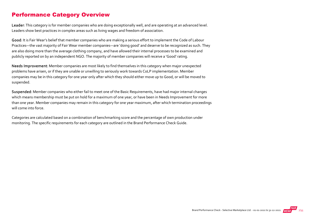#### Performance Category Overview

Leader: This category is for member companies who are doing exceptionally well, and are operating at an advanced level. Leaders show best practices in complex areas such as living wages and freedom of association.

Good: It is Fair Wear's belief that member companies who are making a serious effort to implement the Code of Labour Practices—the vast majority of Fair Wear member companies—are 'doing good' and deserve to be recognized as such. They are also doing more than the average clothing company, and have allowed their internal processes to be examined and publicly reported on by an independent NGO. The majority of member companies will receive a 'Good' rating.

Needs Improvement: Member companies are most likely to find themselves in this category when major unexpected problems have arisen, or if they are unable or unwilling to seriously work towards CoLP implementation. Member companies may be in this category for one year only after which they should either move up to Good, or will be moved to suspended.

Suspended: Member companies who either fail to meet one of the Basic Requirements, have had major internal changes which means membership must be put on hold for a maximum of one year, or have been in Needs Improvement for more than one year. Member companies may remain in this category for one year maximum, after which termination proceedings will come into force.

Categories are calculated based on a combination of benchmarking score and the percentage of own production under monitoring. The specific requirements for each category are outlined in the Brand Performance Check Guide.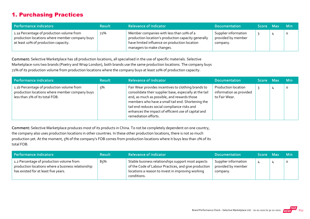#### 1. Purchasing Practices

| Performance indicators                                                                                                              | <b>Result</b> | <b>Relevance of Indicator</b>                                                                                                                                                 | <b>Documentation</b>                                   | Score Max | <b>Min</b> |
|-------------------------------------------------------------------------------------------------------------------------------------|---------------|-------------------------------------------------------------------------------------------------------------------------------------------------------------------------------|--------------------------------------------------------|-----------|------------|
| 1.1a Percentage of production volume from<br>production locations where member company buys<br>at least 10% of production capacity. | 72%           | Member companies with less than 10% of a<br>production location's production capacity generally<br>have limited influence on production location<br>managers to make changes. | Supplier information<br>provided by member<br>company. |           | $\circ$    |

Comment: Selective Marketplace has 18 production locations, all specialised in the use of specific materials. Selective Marketplace runs two brands (Poetry and Wrap London), both brands use the same production locations. The company buys 72% of its production volume from production locations where the company buys at least 10% of production capacity.

| Performance indicators                                                                                                        | <b>Result</b> | <b>Relevance of Indicator</b>                                                                                                                                                                                                                                                                                                                     | <b>Documentation</b>                                            | Score Max | <b>Min</b> |
|-------------------------------------------------------------------------------------------------------------------------------|---------------|---------------------------------------------------------------------------------------------------------------------------------------------------------------------------------------------------------------------------------------------------------------------------------------------------------------------------------------------------|-----------------------------------------------------------------|-----------|------------|
| 1.1b Percentage of production volume from<br>production locations where member company buys<br>less than 2% of its total FOB. | 5%            | Fair Wear provides incentives to clothing brands to<br>consolidate their supplier base, especially at the tail<br>end, as much as possible, and rewards those<br>members who have a small tail end. Shortening the<br>tail end reduces social compliance risks and<br>enhances the impact of efficient use of capital and<br>remediation efforts. | Production location<br>information as provided<br>to Fair Wear. |           | $\circ$    |

Comment: Selective Marketplace produces most of its products in China. To not be completely dependent on one country, the company also uses production locations in other countries. In these other production locations, there is not so much production yet. At the moment, 5% of the company's FOB comes from production locations where it buys less than 2% of its total FOB.

| Performance indicators                                                                                                                 | <b>Result</b> | <b>Relevance of Indicator</b>                                                                                                                                                  | <b>Documentation</b>                                   | Score Max | <b>Min</b> |
|----------------------------------------------------------------------------------------------------------------------------------------|---------------|--------------------------------------------------------------------------------------------------------------------------------------------------------------------------------|--------------------------------------------------------|-----------|------------|
| 1.2 Percentage of production volume from<br>production locations where a business relationship<br>has existed for at least five years. | 8ና%           | Stable business relationships support most aspects<br>of the Code of Labour Practices, and give production<br>locations a reason to invest in improving working<br>conditions. | Supplier information<br>provided by member<br>company. | д.        |            |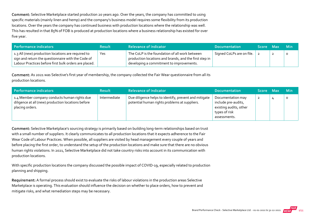Comment: Selective Marketplace started production 20 years ago. Over the years, the company has committed to using specific materials (mainly linen and hemp) and the company's business model requires some flexibility from its production locations. Over the years the company has continued business with production locations where the relationship was well. This has resulted in that 85% of FOB is produced at production locations where a business relationship has existed for over five year.

| Performance indicators                                                                                                                                            | <b>Result</b> | <b>Relevance of Indicator</b>                                                                                                                        | <b>Documentation</b>      | Score Max | - Min |
|-------------------------------------------------------------------------------------------------------------------------------------------------------------------|---------------|------------------------------------------------------------------------------------------------------------------------------------------------------|---------------------------|-----------|-------|
| 1.3 All (new) production locations are required to<br>sign and return the questionnaire with the Code of<br>Labour Practices before first bulk orders are placed. | Yes           | The CoLP is the foundation of all work between<br>production locations and brands, and the first step in<br>developing a commitment to improvements. | Signed CoLPs are on file. |           |       |

Comment: As 2021 was Selective's first year of membership, the company collected the Fair Wear questionnaire from all its production locations.

| Performance indicators                                                                                                | <b>Result</b> | <b>Relevance of Indicator</b>                                                                          | <b>Documentation</b>                                                                                | Score Max | <b>Min</b> |
|-----------------------------------------------------------------------------------------------------------------------|---------------|--------------------------------------------------------------------------------------------------------|-----------------------------------------------------------------------------------------------------|-----------|------------|
| 1.4 Member company conducts human rights due<br>diligence at all (new) production locations before<br>placing orders. | Intermediate  | Due diligence helps to identify, prevent and mitigate<br>potential human rights problems at suppliers. | Documentation may<br>include pre-audits,<br>existing audits, other<br>types of risk<br>assessments. | 2         | $\circ$    |

Comment: Selective Marketplace's sourcing strategy is primarily based on building long-term relationships based on trust with a small number of suppliers. It clearly communicates to all production locations that it expects adherence to the Fair Wear Code of Labour Practices. When possible, all suppliers are visited by head management every couple of years and before placing the first order, to understand the setup of the production locations and make sure that there are no obvious human rights violations. In 2021, Selective Marketplace did not take country risks into account in its communication with production locations.

With specific production locations the company discussed the possible impact of COVID-19, especially related to production planning and shipping.

Requirement: A formal process should exist to evaluate the risks of labour violations in the production areas Selective Marketplace is operating. This evaluation should influence the decision on whether to place orders, how to prevent and mitigate risks, and what remediation steps may be necessary.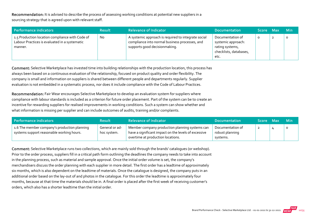Recommendation: It is advised to describe the process of assessing working conditions at potential new suppliers in a

sourcing strategy that is agreed upon with relevant staff.

| Performance indicators                                                                                      | <b>Result</b> | <b>Relevance of Indicator</b>                                                                                                          | <b>Documentation</b>                                                                        | <b>Score</b> | <b>Max</b> | <b>Min</b> |
|-------------------------------------------------------------------------------------------------------------|---------------|----------------------------------------------------------------------------------------------------------------------------------------|---------------------------------------------------------------------------------------------|--------------|------------|------------|
| 1.5 Production location compliance with Code of<br>Labour Practices is evaluated in a systematic<br>manner. | No.           | A systemic approach is required to integrate social<br>compliance into normal business processes, and<br>supports good decisionmaking. | Documentation of<br>systemic approach:<br>rating systems,<br>checklists, databases,<br>etc. | 0            | ∸          | $\Omega$   |

Comment: Selective Marketplace has invested time into building relationships with the production location, this process has always been based on a continuous evaluation of the relationship, focused on product quality and order flexibility. The company is small and information on suppliers is shared between different people and departments regularly. Supplier evaluation is not embedded in a systematic process, nor does it include compliance with the Code of Labour Practices.

Recommendation: Fair Wear encourages Selective Marketplace to develop an evaluation system for suppliers where compliance with labour standards is included as a criterion for future order placement. Part of the system can be to create an incentive for rewarding suppliers for realised improvements in working conditions. Such a system can show whether and what information is missing per supplier and can include outcomes of audits, training and/or complaints.

| Performance indicators                                                                    | <b>Result</b>                 | <b>Relevance of Indicator</b>                                                                                                               | <b>Documentation</b>                            | Score Max | <b>Min</b> |
|-------------------------------------------------------------------------------------------|-------------------------------|---------------------------------------------------------------------------------------------------------------------------------------------|-------------------------------------------------|-----------|------------|
| 1.6 The member company's production planning<br>systems support reasonable working hours. | General or ad-<br>hoc system. | Member company production planning systems can<br>have a significant impact on the levels of excessive<br>overtime at production locations. | Documentation of<br>robust planning<br>systems. | <u>_</u>  | $\circ$    |

Comment: Selective Marketplace runs two collections, which are mainly sold through the brands' catalogues (or webshop). Prior to the order process, suppliers fill in a critical path form outlining the deadlines the company needs to take into account in the planning process, such as material and sample approval. Once the initial order volume is set, the company's merchandisers discuss the order planning with each supplier in more detail. The first order has a leadtime of approximately six months, which is also dependent on the leadtime of materials. Once the catalogue is designed, the company puts in an additional order based on the lay-out of and photos in the catalogue. For this order the leadtime is approximately four months, because at that time the materials should be in. A final order is placed after the first week of receiving customer's orders, which also has a shorter leadtime than the initial order.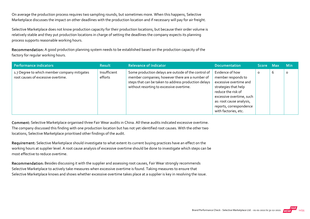On average the production process requires two sampling rounds, but sometimes more. When this happens, Selective Marketplace discusses the impact on other deadlines with the production location and if necessary will pay for air freight.

Selective Marketplace does not know production capacity for their production locations, but because their order volume is relatively stable and they put production locations in charge of setting the deadlines the company expects its planning process supports reasonable working hours.

Recommendation: A good production planning system needs to be established based on the production capacity of the factory for regular working hours.

| Performance indicators                                                             | <b>Result</b>           | <b>Relevance of Indicator</b>                                                                                                                                                                               | <b>Documentation</b>                                                                                                                                                                                                     | <b>Score</b> | <b>Max</b> | <b>Min</b> |
|------------------------------------------------------------------------------------|-------------------------|-------------------------------------------------------------------------------------------------------------------------------------------------------------------------------------------------------------|--------------------------------------------------------------------------------------------------------------------------------------------------------------------------------------------------------------------------|--------------|------------|------------|
| 1.7 Degree to which member company mitigates<br>root causes of excessive overtime. | Insufficient<br>efforts | Some production delays are outside of the control of<br>member companies; however there are a number of<br>steps that can be taken to address production delays<br>without resorting to excessive overtime. | Evidence of how<br>member responds to<br>excessive overtime and<br>strategies that help<br>reduce the risk of<br>excessive overtime, such<br>as: root cause analysis,<br>reports, correspondence<br>with factories, etc. | $\Omega$     | b          | $\circ$    |

Comment: Selective Marketplace organised three Fair Wear audits in China. All these audits indicated excessive overtime. The company discussed this finding with one production location but has not yet identified root causes. With the other two locations, Selective Marketplace prioritised other findings of the audit.

Requirement: Selective Marketplace should investigate to what extent its current buying practices have an effect on the working hours at supplier level. A root cause analysis of excessive overtime should be done to investigate which steps can be most effective to reduce overtime.

Recommendation: Besides discussing it with the supplier and assessing root causes, Fair Wear strongly recommends Selective Marketplace to actively take measures when excessive overtime is found. Taking measures to ensure that Selective Marketplace knows and shows whether excessive overtime takes place at a supplier is key in resolving the issue.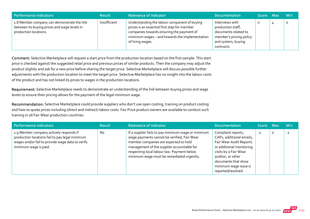| Performance indicators                                                                                               | <b>Result</b> | <b>Relevance of Indicator</b>                                                                                                                                                                                   | <b>Documentation</b>                                                                                                        | Score Max | <b>Min</b> |
|----------------------------------------------------------------------------------------------------------------------|---------------|-----------------------------------------------------------------------------------------------------------------------------------------------------------------------------------------------------------------|-----------------------------------------------------------------------------------------------------------------------------|-----------|------------|
| 1.8 Member company can demonstrate the link<br>between its buying prices and wage levels in<br>production locations. | Insufficient  | Understanding the labour component of buying<br>prices is an essential first step for member<br>companies towards ensuring the payment of<br>minimum wages - and towards the implementation<br>of living wages. | Interviews with<br>production staff,<br>documents related to<br>member's pricing policy<br>and system, buying<br>contracts. | O         | O          |

Comment: Selective Marketplace will request a start price from the production location based on the first sample. This start price is checked against the suggested retail price and previous prices of similar products. Then the company may adjust the product slightly and ask for a new price before sharing the target price. Selective Marketplace will discuss possible further adjustments with the production location to meet the target price. Selective Marketplace has no insight into the labour costs of the product and has not linked its prices to wages in the production locations.

Requirement: Selective Marketplace needs to demonstrate an understanding of the link between buying prices and wage levels to ensure their pricing allows for the payment of the legal minimum wage.

Recommendation: Selective Marketplace could provide suppliers who don't use open costing, training on product costing and how to quote prices including (direct and indirect) labour costs. Fair Price product owners are available to conduct such training in all Fair Wear production countries.

| Performance indicators                                                                                                                                                 | <b>Result</b> | <b>Relevance of Indicator</b>                                                                                                                                                                                                                                                       | <b>Documentation</b>                                                                                                                                                                                                      | Score Max |         | <b>Min</b> |
|------------------------------------------------------------------------------------------------------------------------------------------------------------------------|---------------|-------------------------------------------------------------------------------------------------------------------------------------------------------------------------------------------------------------------------------------------------------------------------------------|---------------------------------------------------------------------------------------------------------------------------------------------------------------------------------------------------------------------------|-----------|---------|------------|
| 1.9 Member company actively responds if<br>production locations fail to pay legal minimum<br>wages and/or fail to provide wage data to verify<br>minimum wage is paid. | <b>No</b>     | If a supplier fails to pay minimum wage or minimum<br>wage payments cannot be verified, Fair Wear<br>member companies are expected to hold<br>management of the supplier accountable for<br>respecting local labour law. Payment below<br>minimum wage must be remediated urgently. | Complaint reports,<br>CAPs, additional emails,<br>Fair Wear Audit Reports<br>or additional monitoring<br>visits by a Fair Wear<br>auditor, or other<br>documents that show<br>minimum wage issue is<br>reported/resolved. | $-2$      | $\circ$ | $-2$       |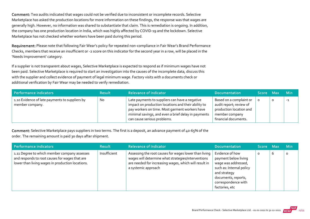Comment: Two audits indicated that wages could not be verified due to inconsistent or incomplete records. Selective Marketplace has asked the production locations for more information on these findings, the response was that wages are generally high. However, no information was shared to substantiate that claim. This is remediation is ongoing. In addition, the company has one production location in India, which was highly affected by COVID‐19 and the lockdown. Selective Marketplace has not checked whether workers have been paid during this period.

Requirement: Please note that following Fair Wear's policy for repeated non-compliance in Fair Wear's Brand Performance Checks, members that receive an insufficient or ‐2 score on this indicator for the second year in a row, will be placed in the 'Needs Improvement' category.

If a supplier is not transparent about wages, Selective Marketplace is expected to respond as if minimum wages have not been paid. Selective Marketplace is required to start an investigation into the causes of the incomplete data, discuss this with the supplier and collect evidence of payment of legal minimum wage. Factory visits with a documents check or additional verification by Fair Wear may be needed to verify remediation.

| Performance indicators                                            | <b>Result</b> | <b>Relevance of Indicator</b>                                                                                                                                                                                                                 | <b>Documentation</b>                                                                                                    | Score Max |   | <b>Min</b> |
|-------------------------------------------------------------------|---------------|-----------------------------------------------------------------------------------------------------------------------------------------------------------------------------------------------------------------------------------------------|-------------------------------------------------------------------------------------------------------------------------|-----------|---|------------|
| 1.10 Evidence of late payments to suppliers by<br>member company. | No            | Late payments to suppliers can have a negative<br>impact on production locations and their ability to<br>pay workers on time. Most garment workers have<br>minimal savings, and even a brief delay in payments<br>can cause serious problems. | Based on a complaint or<br>audit report; review of<br>production location and<br>member company<br>financial documents. |           | O | $-1$       |

Comment: Selective Marketplace pays suppliers in two terms. The first is a deposit, an advance payment of 40-65% of the order. The remaining amount is paid 30 days after shipment.

| <b>Performance indicators</b>                                                                                                                      | <b>Result</b> | <b>Relevance of Indicator</b>                                                                                                                                                               | <b>Documentation</b>                                                                                                                                                       | Score Max |   | <b>Min</b> |
|----------------------------------------------------------------------------------------------------------------------------------------------------|---------------|---------------------------------------------------------------------------------------------------------------------------------------------------------------------------------------------|----------------------------------------------------------------------------------------------------------------------------------------------------------------------------|-----------|---|------------|
| 1.11 Degree to which member company assesses<br>and responds to root causes for wages that are<br>lower than living wages in production locations. | Insufficient  | Assessing the root causes for wages lower than living<br>wages will determine what strategies/interventions<br>are needed for increasing wages, which will result in<br>a systemic approach | Evidence of how<br>payment below living<br>wage was addressed,<br>such as: Internal policy<br>and strategy<br>documents, reports,<br>correspondence with<br>factories, etc | $\circ$   | b | $\Omega$   |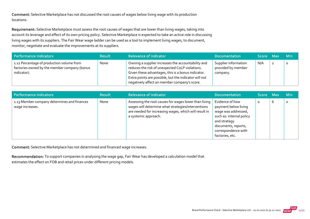Comment: Selective Marketplace has not discussed the root causes of wages below living wage with its production locations.

Requirement: Selective Marketplace must assess the root causes of wages that are lower than living wages, taking into account its leverage and effect of its own pricing policy. Selective Marketplace is expected to take an active role in discussing living wages with its suppliers. The Fair Wear wage ladder can be used as a tool to implement living wages, to document, monitor, negotiate and evaluate the improvements at its suppliers.

| Performance indicators                                                                                   | <b>Result</b> | <b>Relevance of Indicator</b>                                                                                                                                                                                                                                        | <b>Documentation</b>                                   | Score Max |                | <b>Min</b> |
|----------------------------------------------------------------------------------------------------------|---------------|----------------------------------------------------------------------------------------------------------------------------------------------------------------------------------------------------------------------------------------------------------------------|--------------------------------------------------------|-----------|----------------|------------|
| 1.12 Percentage of production volume from<br>factories owned by the member company (bonus<br>indicator). | None          | Owning a supplier increases the accountability and<br>reduces the risk of unexpected CoLP violations.<br>Given these advantages, this is a bonus indicator.<br>Extra points are possible, but the indicator will not<br>negatively affect an member company's score. | Supplier information<br>provided by member<br>company. | N/A       | $\overline{2}$ | $\circ$    |

| Performance indicators                                         | <b>Result</b> | <b>Relevance of Indicator</b>                                                                                                                                                                | Documentation                                                                                                                                                               | Score Max |   | Min     |
|----------------------------------------------------------------|---------------|----------------------------------------------------------------------------------------------------------------------------------------------------------------------------------------------|-----------------------------------------------------------------------------------------------------------------------------------------------------------------------------|-----------|---|---------|
| 1.13 Member company determines and finances<br>wage increases. | None          | Assessing the root causes for wages lower than living<br>wages will determine what strategies/interventions<br>are needed for increasing wages, which will result in<br>a systemic approach. | Evidence of how<br>payment below living<br>wage was addressed,<br>such as: internal policy<br>and strategy<br>documents, reports,<br>correspondence with<br>factories, etc. | O         | ь | $\circ$ |

Comment: Selective Marketplace has not determined and financed wage increases.

Recommendation: To support companies in analysing the wage gap, Fair Wear has developed a calculation model that estimates the effect on FOB and retail prices under different pricing models.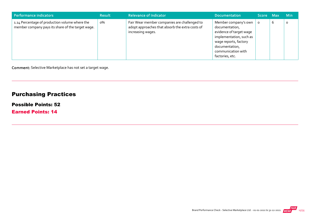| Performance indicators                                                                              | <b>Result</b> | <b>Relevance of Indicator</b>                                                                                        | <b>Documentation</b>                                                                                                                                                             | Score Max |   | <b>Min</b> |
|-----------------------------------------------------------------------------------------------------|---------------|----------------------------------------------------------------------------------------------------------------------|----------------------------------------------------------------------------------------------------------------------------------------------------------------------------------|-----------|---|------------|
| 1.14 Percentage of production volume where the<br>member company pays its share of the target wage. | о%            | Fair Wear member companies are challenged to<br>adopt approaches that absorb the extra costs of<br>increasing wages. | Member company's own<br>documentation,<br>evidence of target wage<br>implementation, such as<br>wage reports, factory<br>documentation,<br>communication with<br>factories, etc. | $\Omega$  | 6 | O          |

Comment: Selective Marketplace has not set a target wage.

## Purchasing Practices

#### Possible Points: 52

Earned Points: 14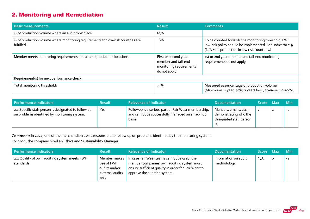## 2. Monitoring and Remediation

| <b>Basic measurements</b>                                                                     | <b>Result</b>                                                                          | <b>Comments</b>                                                                                                                                                  |
|-----------------------------------------------------------------------------------------------|----------------------------------------------------------------------------------------|------------------------------------------------------------------------------------------------------------------------------------------------------------------|
| % of production volume where an audit took place.                                             | 63%                                                                                    |                                                                                                                                                                  |
| % of production volume where monitoring requirements for low-risk countries are<br>fulfilled. | 16%                                                                                    | To be counted towards the monitoring threshold, FWF<br>low-risk policy should be implemented. See indicator 2.9.<br>(N/A = no production in low risk countries.) |
| Member meets monitoring requirements for tail-end production locations.                       | First or second year<br>member and tail-end<br>monitoring requirements<br>do not apply | 1st or 2nd year member and tail-end monitoring<br>requirements do not apply.                                                                                     |
| Requirement(s) for next performance check                                                     |                                                                                        |                                                                                                                                                                  |
| Total monitoring threshold:                                                                   | 79%                                                                                    | Measured as percentage of production volume<br>(Minimums: 1 year: 40%; 2 years 60%; 3 years+: 80-100%)                                                           |

| Performance indicators                                                                               | <b>Result</b> | <b>Relevance of Indicator</b>                                                                                    | <b>Documentation</b>                                                              | Score Max |                | <b>Min</b> |
|------------------------------------------------------------------------------------------------------|---------------|------------------------------------------------------------------------------------------------------------------|-----------------------------------------------------------------------------------|-----------|----------------|------------|
| 2.1 Specific staff person is designated to follow up<br>on problems identified by monitoring system. | Yes           | Followup is a serious part of Fair Wear membership,<br>and cannot be successfully managed on an ad-hoc<br>basis. | Manuals, emails, etc.,<br>demonstrating who the<br>designated staff person<br>גו. |           | $\overline{2}$ | $-2$       |

Comment: In 2021, one of the merchandisers was responsible to follow up on problems identified by the monitoring system. For 2022, the company hired an Ethics and Sustainability Manager.

| Performance indicators                                     | <b>Result</b>                                                          | <b>Relevance of Indicator</b>                                                                                                                                                    | <b>Documentation</b>                 | Score Max |   | <b>Min</b> |
|------------------------------------------------------------|------------------------------------------------------------------------|----------------------------------------------------------------------------------------------------------------------------------------------------------------------------------|--------------------------------------|-----------|---|------------|
| 2.2 Quality of own auditing system meets FWF<br>standards. | Member makes<br>use of FWF<br>audits and/or<br>external audits<br>only | In case Fair Wear teams cannot be used, the<br>member companies' own auditing system must<br>ensure sufficient quality in order for Fair Wear to<br>approve the auditing system. | Information on audit<br>methodology. | N/A       | O | $-1$       |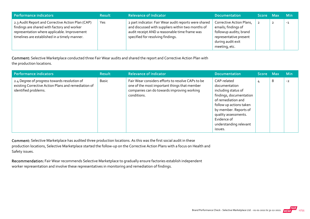| Performance indicators                                                                                                                                                                            | <b>Result</b> | <b>Relevance of Indicator</b>                                                                                                                                                                    | <b>Documentation</b>                                                                                                                      | Score Max | <b>Min</b> |
|---------------------------------------------------------------------------------------------------------------------------------------------------------------------------------------------------|---------------|--------------------------------------------------------------------------------------------------------------------------------------------------------------------------------------------------|-------------------------------------------------------------------------------------------------------------------------------------------|-----------|------------|
| 2.3 Audit Report and Corrective Action Plan (CAP)<br>findings are shared with factory and worker<br>representation where applicable. Improvement<br>timelines are established in a timely manner. | Yes           | 2 part indicator: Fair Wear audit reports were shared<br>and discussed with suppliers within two months of<br>audit receipt AND a reasonable time frame was<br>specified for resolving findings. | Corrective Action Plans,<br>emails; findings of<br>followup audits; brand<br>representative present<br>during audit exit<br>meeting, etc. |           | $-1$       |

Comment: Selective Marketplace conducted three Fair Wear audits and shared the report and Corrective Action Plan with the production locations.

| Performance indicators                                                                                                      | <b>Result</b> | <b>Relevance of Indicator</b>                                                                                                                                  | <b>Documentation</b>                                                                                                                                                                                                                 | Score Max |   | <b>Min</b> |
|-----------------------------------------------------------------------------------------------------------------------------|---------------|----------------------------------------------------------------------------------------------------------------------------------------------------------------|--------------------------------------------------------------------------------------------------------------------------------------------------------------------------------------------------------------------------------------|-----------|---|------------|
| 2.4 Degree of progress towards resolution of<br>existing Corrective Action Plans and remediation of<br>identified problems. | Basic         | Fair Wear considers efforts to resolve CAPs to be<br>one of the most important things that member<br>companies can do towards improving working<br>conditions. | CAP-related<br>documentation<br>including status of<br>findings, documentation<br>of remediation and<br>follow up actions taken<br>by member. Reports of<br>quality assessments.<br>Evidence of<br>understanding relevant<br>issues. | 4         | 8 | $-2$       |

Comment: Selective Marketplace has audited three production locations. As this was the first social audit in these production locations, Selective Marketplace started the follow‐up on the Corrective Action Plans with a focus on Health and Safety issues.

Recommendation: Fair Wear recommends Selective Marketplace to gradually ensure factories establish independent worker representation and involve these representatives in monitoring and remediation of findings.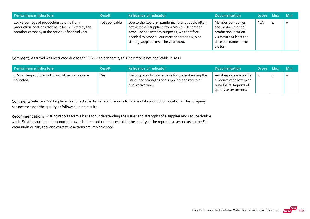| Performance indicators                                                                                                                           | <b>Result</b>  | <b>Relevance of Indicator</b>                                                                                                                                                                                                                  | <b>Documentation</b>                                                                                                           | Score Max | <b>Min</b> |
|--------------------------------------------------------------------------------------------------------------------------------------------------|----------------|------------------------------------------------------------------------------------------------------------------------------------------------------------------------------------------------------------------------------------------------|--------------------------------------------------------------------------------------------------------------------------------|-----------|------------|
| 2.5 Percentage of production volume from<br>production locations that have been visited by the<br>member company in the previous financial year. | not applicable | Due to the Covid-19 pandemic, brands could often<br>not visit their suppliers from March - December<br>2020. For consistency purposes, we therefore<br>decided to score all our member brands N/A on<br>visiting suppliers over the year 2020. | Member companies<br>should document all<br>production location<br>visits with at least the<br>date and name of the<br>visitor. | N/A       | $\circ$    |

Comment: As travel was restricted due to the COVID‐19 pandemic, this indicator is not applicable in 2021.

| Performance indicators                                          | <b>Result</b> | <b>Relevance of Indicator</b>                                                                                               | <b>Documentation</b>                                                                                    | Score Max | <b>Min</b> |
|-----------------------------------------------------------------|---------------|-----------------------------------------------------------------------------------------------------------------------------|---------------------------------------------------------------------------------------------------------|-----------|------------|
| 2.6 Existing audit reports from other sources are<br>collected. | Yes           | Existing reports form a basis for understanding the<br>issues and strengths of a supplier, and reduces<br>duplicative work. | Audit reports are on file;<br>evidence of followup on<br>prior CAPs. Reports of<br>quality assessments. |           | $\circ$    |

Comment: Selective Marketplace has collected external audit reports for some of its production locations. The company has not assessed the quality or followed up on results.

Recommendation: Existing reports form a basis for understanding the issues and strengths of a supplier and reduce double work. Existing audits can be counted towards the monitoring threshold if the quality of the report is assessed using the Fair Wear audit quality tool and corrective actions are implemented.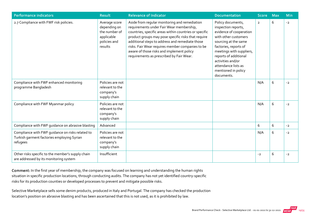| <b>Performance indicators</b>                                                                              | <b>Result</b>                                                                           | <b>Relevance of Indicator</b>                                                                                                                                                                                                                                                                                                                                                                              | <b>Documentation</b>                                                                                                                                                                                                                                                               | <b>Score</b>   | <b>Max</b> | <b>Min</b> |
|------------------------------------------------------------------------------------------------------------|-----------------------------------------------------------------------------------------|------------------------------------------------------------------------------------------------------------------------------------------------------------------------------------------------------------------------------------------------------------------------------------------------------------------------------------------------------------------------------------------------------------|------------------------------------------------------------------------------------------------------------------------------------------------------------------------------------------------------------------------------------------------------------------------------------|----------------|------------|------------|
| 2.7 Compliance with FWF risk policies.                                                                     | Average score<br>depending on<br>the number of<br>applicable<br>policies and<br>results | Aside from regular monitoring and remediation<br>requirements under Fair Wear membership,<br>countries, specific areas within countries or specific<br>product groups may pose specific risks that require<br>additional steps to address and remediate those<br>risks. Fair Wear requires member companies to be<br>aware of those risks and implement policy<br>requirements as prescribed by Fair Wear. | Policy documents,<br>inspection reports,<br>evidence of cooperation<br>with other customers<br>sourcing at the same<br>factories, reports of<br>meetings with suppliers,<br>reports of additional<br>activities and/or<br>attendance lists as<br>mentioned in policy<br>documents. | $\overline{2}$ | 6          | $-2$       |
| Compliance with FWF enhanced monitoring<br>programme Bangladesh                                            | Policies are not<br>relevant to the<br>company's<br>supply chain                        |                                                                                                                                                                                                                                                                                                                                                                                                            |                                                                                                                                                                                                                                                                                    | N/A            | 6          | $-2$       |
| Compliance with FWF Myanmar policy                                                                         | Policies are not<br>relevant to the<br>company's<br>supply chain                        |                                                                                                                                                                                                                                                                                                                                                                                                            |                                                                                                                                                                                                                                                                                    | N/A            | 6          | $-2$       |
| Compliance with FWF quidance on abrasive blasting                                                          | Advanced                                                                                |                                                                                                                                                                                                                                                                                                                                                                                                            |                                                                                                                                                                                                                                                                                    | 6              | 6          | $-2$       |
| Compliance with FWF guidance on risks related to<br>Turkish garment factories employing Syrian<br>refugees | Policies are not<br>relevant to the<br>company's<br>supply chain                        |                                                                                                                                                                                                                                                                                                                                                                                                            |                                                                                                                                                                                                                                                                                    | N/A            | 6          | $-2$       |
| Other risks specific to the member's supply chain<br>are addressed by its monitoring system                | Insufficient                                                                            |                                                                                                                                                                                                                                                                                                                                                                                                            |                                                                                                                                                                                                                                                                                    | $-2$           | 6          | $-2$       |

Comment: In the first year of membership, the company was focused on learning and understanding the human rights situation in specific production locations, through conducting audits. The company has not yet identified country‐specific risks for its production counties or developed processes to prevent and mitigate possible risks.

Selective Marketplace sells some denim products, produced in Italy and Portugal. The company has checked the production location's position on abrasive blasting and has been ascertained that this is not used, as it is prohibited by law.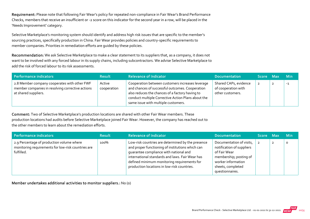Requirement: Please note that following Fair Wear's policy for repeated non-compliance in Fair Wear's Brand Performance Checks, members that receive an insufficient or ‐2 score on this indicator for the second year in a row, will be placed in the 'Needs Improvement' category.

Selective Marketplace's monitoring system should identify and address high risk issues that are specific to the member's sourcing practices, specifically production in China. Fair Wear provides policies and country‐specific requirements to member companies. Priorities in remediation efforts are guided by these policies.

Recommendation: We ask Selective Marketplace to make a clear statement to its suppliers that, as a company, it does not want to be involved with any forced labour in its supply chains, including subcontractors. We advise Selective Marketplace to add the risk of forced labour to its risk assessments.

| Performance indicators                                                                                                   | <b>Result</b>         | <b>Relevance of Indicator</b>                                                                                                                                                                                                                       | <b>Documentation</b>                                             | Score Max | <b>Min</b> |
|--------------------------------------------------------------------------------------------------------------------------|-----------------------|-----------------------------------------------------------------------------------------------------------------------------------------------------------------------------------------------------------------------------------------------------|------------------------------------------------------------------|-----------|------------|
| 2.8 Member company cooperates with other FWF<br>member companies in resolving corrective actions<br>at shared suppliers. | Active<br>cooperation | Cooperation between customers increases leverage<br>and chances of successful outcomes. Cooperation<br>also reduces the chances of a factory having to<br>conduct multiple Corrective Action Plans about the<br>same issue with multiple customers. | Shared CAPs, evidence<br>of cooperation with<br>other customers. |           | $-1$       |

Comment: Two of Selective Marketplace's production locations are shared with other Fair Wear members. These production locations had audits before Selective Marketplace joined Fair Wear. However, the company has reached out to the other members to learn about the remediation efforts.

| Performance indicators                                                                                        | <b>Result</b> | <b>Relevance of Indicator</b>                                                                                                                                                                                                                                                                    | <b>Documentation</b>                                                                                                                                          | Score Max      |                | <b>Min</b> |
|---------------------------------------------------------------------------------------------------------------|---------------|--------------------------------------------------------------------------------------------------------------------------------------------------------------------------------------------------------------------------------------------------------------------------------------------------|---------------------------------------------------------------------------------------------------------------------------------------------------------------|----------------|----------------|------------|
| 2.9 Percentage of production volume where<br>monitoring requirements for low-risk countries are<br>fulfilled. | 100%          | Low-risk countries are determined by the presence<br>and proper functioning of institutions which can<br>quarantee compliance with national and<br>international standards and laws. Fair Wear has<br>defined minimum monitoring requirements for<br>production locations in low-risk countries. | Documentation of visits,<br>notification of suppliers<br>of Fair Wear<br>membership; posting of<br>worker information<br>sheets, completed<br>questionnaires. | $\overline{2}$ | $\overline{2}$ |            |

Member undertakes additional activities to monitor suppliers.: No (0)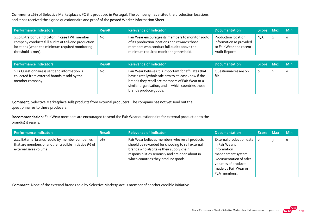Comment: 16% of Selective Marketplace's FOB is produced in Portugal. The company has visited the production locations and it has received the signed questionnaire and proof of the posted Worker Information Sheet.

| Performance indicators                                                                                                                                                         | <b>Result</b> | <b>Relevance of Indicator</b>                                                                                                                                                            | <b>Documentation</b>                                                                               | Score Max | <b>Min</b> |
|--------------------------------------------------------------------------------------------------------------------------------------------------------------------------------|---------------|------------------------------------------------------------------------------------------------------------------------------------------------------------------------------------------|----------------------------------------------------------------------------------------------------|-----------|------------|
| 2.10 Extra bonus indicator: in case FWF member<br>company conducts full audits at tail-end production<br>locations (when the minimum required monitoring<br>threshold is met). | No            | Fair Wear encourages its members to monitor 100%<br>of its production locations and rewards those<br>members who conduct full audits above the<br>minimum required monitoring threshold. | <b>Production location</b><br>information as provided<br>to Fair Wear and recent<br>Audit Reports. | N/A       | $\circ$    |

| Performance indicators                                                                                           | <b>Result</b> | <b>Relevance of Indicator</b>                                                                                                                                                                                                                    | <b>Documentation</b>           | Score Max | <b>Min</b> |
|------------------------------------------------------------------------------------------------------------------|---------------|--------------------------------------------------------------------------------------------------------------------------------------------------------------------------------------------------------------------------------------------------|--------------------------------|-----------|------------|
| 2.11 Questionnaire is sent and information is<br>collected from external brands resold by the<br>member company. | <b>No</b>     | Fair Wear believes it is important for affiliates that<br>have a retail/wholesale arm to at least know if the<br>brands they resell are members of Fair Wear or a<br>similar organisation, and in which countries those<br>brands produce goods. | Questionnaires are on<br>file. | $\Omega$  | O          |

Comment: Selective Marketplace sells products from external producers. The company has not yet send out the questionnaires to these producers.

Recommendation: Fair Wear members are encouraged to send the Fair Wear questionnaire for external production to the brand(s) it resells.

| Performance indicators                                                                                                              | <b>Result</b> | <b>Relevance of Indicator</b>                                                                                                                                                                                                            | <b>Documentation</b>                                                                                                                                                     | Score Max    | <b>Min</b> |
|-------------------------------------------------------------------------------------------------------------------------------------|---------------|------------------------------------------------------------------------------------------------------------------------------------------------------------------------------------------------------------------------------------------|--------------------------------------------------------------------------------------------------------------------------------------------------------------------------|--------------|------------|
| 2.12 External brands resold by member companies<br>that are members of another credible initiative (% of<br>external sales volume). | о%            | Fair Wear believes members who resell products<br>should be rewarded for choosing to sell external<br>brands who also take their supply chain<br>responsibilities seriously and are open about in<br>which countries they produce goods. | External production data<br>in Fair Wear's<br>information<br>management system.<br>Documentation of sales<br>volumes of products<br>made by Fair Wear or<br>FLA members. | $\mathbf{o}$ | 0          |

Comment: None of the external brands sold by Selective Marketplace is member of another credible initiative.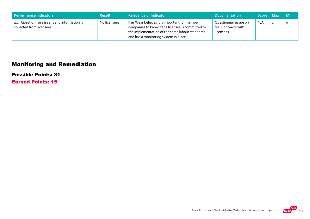| Performance indicators                                                     | <b>Result</b> | <b>Relevance of Indicator</b>                                                                                                                                                                  | <b>Documentation</b>                                        | Score Max | - Min   |
|----------------------------------------------------------------------------|---------------|------------------------------------------------------------------------------------------------------------------------------------------------------------------------------------------------|-------------------------------------------------------------|-----------|---------|
| 2.13 Questionnaire is sent and information is<br>collected from licensees. | No licensees  | Fair Wear believes it is important for member<br>companies to know if the licensee is committed to<br>the implementation of the same labour standards<br>and has a monitoring system in place. | Questionnaires are on<br>file. Contracts with<br>licensees. | N/A       | $\circ$ |

## Monitoring and Remediation

#### Possible Points: 31

Earned Points: 15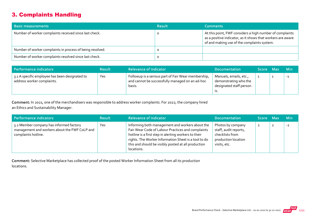#### 3. Complaints Handling

| <b>Basic measurements</b>                                 | <b>Result</b> | <b>Comments</b>                                                                                                                                                        |
|-----------------------------------------------------------|---------------|------------------------------------------------------------------------------------------------------------------------------------------------------------------------|
| Number of worker complaints received since last check.    |               | At this point, FWF considers a high number of complaints<br>as a positive indicator, as it shows that workers are aware<br>of and making use of the complaints system. |
| Number of worker complaints in process of being resolved. |               |                                                                                                                                                                        |
| Number of worker complaints resolved since last check.    |               |                                                                                                                                                                        |

| Performance indicators                                                       | <b>Result</b> | <b>Relevance of Indicator</b>                                                                                    | <b>Documentation</b>                                                       | Score Max | <b>Min</b> |
|------------------------------------------------------------------------------|---------------|------------------------------------------------------------------------------------------------------------------|----------------------------------------------------------------------------|-----------|------------|
| 3.1 A specific employee has been designated to<br>address worker complaints. | Yes           | Followup is a serious part of Fair Wear membership,<br>and cannot be successfully managed on an ad-hoc<br>basis. | Manuals, emails, etc.,<br>demonstrating who the<br>designated staff person |           | $-1$       |

Comment: In 2021, one of the merchandisers was responsible to address worker complaints. For 2022, the company hired an Ethics and Sustainability Manager.

| Performance indicators                                                                                          | <b>Result</b> | <b>Relevance of Indicator</b>                                                                                                                                                                                                                                                             | <b>Documentation</b>                                                                                 | Score Max      |                | <b>Min</b> |
|-----------------------------------------------------------------------------------------------------------------|---------------|-------------------------------------------------------------------------------------------------------------------------------------------------------------------------------------------------------------------------------------------------------------------------------------------|------------------------------------------------------------------------------------------------------|----------------|----------------|------------|
| 3.2 Member company has informed factory<br>management and workers about the FWF CoLP and<br>complaints hotline. | Yes           | Informing both management and workers about the<br>Fair Wear Code of Labour Practices and complaints<br>hotline is a first step in alerting workers to their<br>rights. The Worker Information Sheet is a tool to do<br>this and should be visibly posted at all production<br>locations. | Photos by company<br>staff, audit reports,<br>checklists from<br>production location<br>visits, etc. | $\overline{2}$ | $\overline{2}$ | $-2$       |

Comment: Selective Marketplace has collected proof of the posted Worker Information Sheet from all its production locations.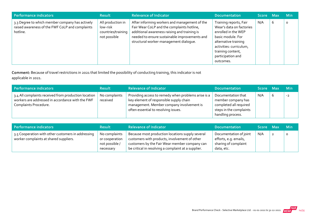| Performance indicators                                                                                         | <b>Result</b>                                                       | <b>Relevance of Indicator</b>                                                                                                                                                                                                          | <b>Documentation</b>                                                                                                                                                                                     | Score Max |   | <b>Min</b> |
|----------------------------------------------------------------------------------------------------------------|---------------------------------------------------------------------|----------------------------------------------------------------------------------------------------------------------------------------------------------------------------------------------------------------------------------------|----------------------------------------------------------------------------------------------------------------------------------------------------------------------------------------------------------|-----------|---|------------|
| 3.3 Degree to which member company has actively<br>raised awareness of the FWF CoLP and complaints<br>hotline. | All production in<br>low-risk<br>countries/training<br>not possible | After informing workers and management of the<br>Fair Wear CoLP and the complaints hotline,<br>additional awareness raising and training is<br>needed to ensure sustainable improvements and<br>structural worker-management dialogue. | Training reports, Fair<br>Wear's data on factories<br>enrolled in the WEP<br>basic module. For<br>alternative training<br>activities: curriculum,<br>training content,<br>participation and<br>outcomes. | N/A       | 6 | $\circ$    |

Comment: Because of travel restrictions in 2021 that limited the possibility of conducting training, this indicator is not

applicable in 2021.

| Performance indicators                                                                                                            | <b>Result</b>             | <b>Relevance of Indicator</b>                                                                                                                                                       | <b>Documentation</b>                                                                                               | Score Max |   | <b>Min</b> |
|-----------------------------------------------------------------------------------------------------------------------------------|---------------------------|-------------------------------------------------------------------------------------------------------------------------------------------------------------------------------------|--------------------------------------------------------------------------------------------------------------------|-----------|---|------------|
| 3.4 All complaints received from production location<br>workers are addressed in accordance with the FWF<br>Complaints Procedure. | No complaints<br>received | Providing access to remedy when problems arise is a<br>key element of responsible supply chain<br>management. Member company involvement is<br>often essential to resolving issues. | Documentation that<br>member company has<br>completed all required<br>steps in the complaints<br>handling process. | N/A       | b | $-2$       |

| Performance indicators                                                                       | <b>Result</b>                                                  | <b>Relevance of Indicator</b>                                                                                                                                                                             | <b>Documentation</b>                                                                  | Score Max |                | <b>Min</b> |
|----------------------------------------------------------------------------------------------|----------------------------------------------------------------|-----------------------------------------------------------------------------------------------------------------------------------------------------------------------------------------------------------|---------------------------------------------------------------------------------------|-----------|----------------|------------|
| 3.5 Cooperation with other customers in addressing<br>worker complaints at shared suppliers. | No complaints<br>or cooperation<br>not possible /<br>necessary | Because most production locations supply several<br>customers with products, involvement of other<br>customers by the Fair Wear member company can<br>be critical in resolving a complaint at a supplier. | Documentation of joint<br>efforts, e.g. emails,<br>sharing of complaint<br>data, etc. | N/A       | $\overline{2}$ | $\Omega$   |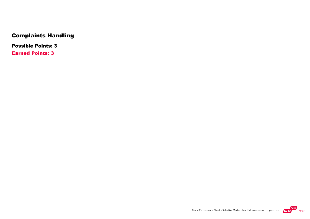## Complaints Handling

Possible Points: 3

Earned Points: 3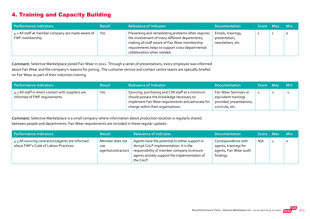## 4. Training and Capacity Building

| Performance indicators                                               | <b>Result</b> | <b>Relevance of Indicator</b>                                                                                                                                                                                                            | <b>Documentation</b>                                     | Score Max | <b>Min</b> |
|----------------------------------------------------------------------|---------------|------------------------------------------------------------------------------------------------------------------------------------------------------------------------------------------------------------------------------------------|----------------------------------------------------------|-----------|------------|
| 4.1 All staff at member company are made aware of<br>FWF membership. | Yes           | Preventing and remediating problems often requires<br>the involvement of many different departments;<br>making all staff aware of Fair Wear membership<br>requirements helps to support cross-departmental<br>collaboration when needed. | Emails, trainings,<br>presentation,<br>newsletters, etc. |           | O          |

Comment: Selective Marketplace joined Fair Wear in 2021. Through a series of presentations, every employee was informed about Fair Wear and the company's reasons for joining. The customer service and contact centre teams are specially briefed on Fair Wear as part of their induction training.

| Performance indicators                                                              | <b>Result</b> | <b>Relevance of Indicator</b>                                                                                                                                                           | <b>Documentation</b>                                                                         | Score Max | <b>Min</b> |
|-------------------------------------------------------------------------------------|---------------|-----------------------------------------------------------------------------------------------------------------------------------------------------------------------------------------|----------------------------------------------------------------------------------------------|-----------|------------|
| 4.2 All staff in direct contact with suppliers are<br>informed of FWF requirements. | Yes           | Sourcing, purchasing and CSR staff at a minimum<br>should possess the knowledge necessary to<br>implement Fair Wear requirements and advocate for<br>change within their organisations. | Fair Wear Seminars or<br>equivalent trainings<br>provided; presentations,<br>curricula, etc. |           | $-1$       |

Comment: Selective Marketplace is a small company where information about production location is regularly shared between people and departments. Fair Wear requirements are included in these regular updates.

| Performance indicators                                                                    | <b>Result</b>                                       | <b>Relevance of Indicator</b>                                                                                                                                                                        | Documentation                                                                        | Score Max |                | <b>Min</b> |
|-------------------------------------------------------------------------------------------|-----------------------------------------------------|------------------------------------------------------------------------------------------------------------------------------------------------------------------------------------------------------|--------------------------------------------------------------------------------------|-----------|----------------|------------|
| 4.3 All sourcing contractors/agents are informed<br>about FWF's Code of Labour Practices. | Member does not<br><b>use</b><br>agents/contractors | Agents have the potential to either support or<br>disrupt CoLP implementation. It is the<br>responsibility of member company to ensure<br>agents actively support the implementation of<br>the CoLP. | Correspondence with<br>agents, trainings for<br>agents, Fair Wear audit<br>findings. | N/A       | $\overline{2}$ | O          |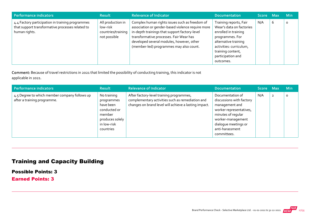| Performance indicators                                                                                                | <b>Result</b>                                                       | Relevance of Indicator                                                                                                                                                                                                                                                                  | <b>Documentation</b>                                                                                                                                                                                    | Score Max |   | <b>Min</b> |
|-----------------------------------------------------------------------------------------------------------------------|---------------------------------------------------------------------|-----------------------------------------------------------------------------------------------------------------------------------------------------------------------------------------------------------------------------------------------------------------------------------------|---------------------------------------------------------------------------------------------------------------------------------------------------------------------------------------------------------|-----------|---|------------|
| 4.4 Factory participation in training programmes<br>that support transformative processes related to<br>human rights. | All production in<br>low-risk<br>countries/training<br>not possible | Complex human rights issues such as freedom of<br>association or gender-based violence require more<br>in-depth trainings that support factory-level<br>transformative processes. Fair Wear has<br>developed several modules, however, other<br>(member-led) programmes may also count. | Training reports, Fair<br>Wear's data on factories<br>enrolled in training<br>programmes. For<br>alternative training<br>activities: curriculum,<br>training content,<br>participation and<br>outcomes. | N/A       | 6 | $\circ$    |

Comment: Because of travel restrictions in 2021 that limited the possibility of conducting training, this indicator is not

applicable in 2021.

| Performance indicators                                                       | <b>Result</b>                                                                                                   | <b>Relevance of Indicator</b>                                                                                                                         | <b>Documentation</b>                                                                                                                                                                           | Score Max | <b>Min</b> |
|------------------------------------------------------------------------------|-----------------------------------------------------------------------------------------------------------------|-------------------------------------------------------------------------------------------------------------------------------------------------------|------------------------------------------------------------------------------------------------------------------------------------------------------------------------------------------------|-----------|------------|
| 4.5 Degree to which member company follows up<br>after a training programme. | No training<br>programmes<br>have been<br>conducted or<br>member<br>produces solely<br>in low-risk<br>countries | After factory-level training programmes,<br>complementary activities such as remediation and<br>changes on brand level will achieve a lasting impact. | Documentation of<br>discussions with factory<br>management and<br>worker representatives,<br>minutes of regular<br>worker-management<br>dialogue meetings or<br>anti-harassment<br>committees. | N/A       | $\circ$    |

## Training and Capacity Building

Possible Points: 3

Earned Points: 3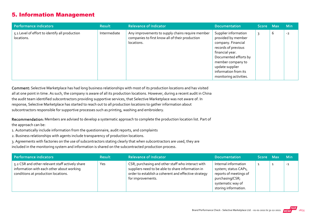#### 5. Information Management

| Performance indicators                                       | <b>Result</b> | <b>Relevance of Indicator</b>                                                                                     | <b>Documentation</b>                                                                                                                                                                                                          | Score Max |   | <b>Min</b> |
|--------------------------------------------------------------|---------------|-------------------------------------------------------------------------------------------------------------------|-------------------------------------------------------------------------------------------------------------------------------------------------------------------------------------------------------------------------------|-----------|---|------------|
| 5.1 Level of effort to identify all production<br>locations. | Intermediate  | Any improvements to supply chains require member<br>companies to first know all of their production<br>locations. | Supplier information<br>provided by member<br>company. Financial<br>records of previous<br>financial year.<br>Documented efforts by<br>member company to<br>update supplier<br>information from its<br>monitoring activities. |           | b | $-2$       |

Comment: Selective Marketplace has had long business relationships with most of its production locations and has visited all at one point in time. As such, the company is aware of all its production locations. However, during a recent audit in China the audit team identified subcontractors providing supportive services, that Selective Marketplace was not aware of. In response, Selective Marketplace has started to reach out to all production locations to gather information about subcontractors responsible for supportive processes such as printing, washing and embroidery.

Recommendation: Members are advised to develop a systematic approach to complete the production location list. Part of the approach can be:

1. Automatically include information from the questionnaire, audit reports, and complaints

2. Business relationships with agents include transparency of production locations.

3. Agreements with factories on the use of subcontractors stating clearly that when subcontractors are used, they are

included in the monitoring system and information is shared on the subcontracted production process.

| Performance indicators                                                                                                              | <b>Result</b> | <b>Relevance of Indicator</b>                                                                                                                                                       | <b>Documentation</b>                                                                                                                   | ا Score Max | <b>Min</b> |
|-------------------------------------------------------------------------------------------------------------------------------------|---------------|-------------------------------------------------------------------------------------------------------------------------------------------------------------------------------------|----------------------------------------------------------------------------------------------------------------------------------------|-------------|------------|
| 5.2 CSR and other relevant staff actively share<br>information with each other about working<br>conditions at production locations. | Yes           | CSR, purchasing and other staff who interact with<br>suppliers need to be able to share information in<br>order to establish a coherent and effective strategy<br>for improvements. | Internal information<br>system; status CAPs,<br>reports of meetings of<br>purchasing/CSR;<br>systematic way of<br>storing information. |             | $-1$       |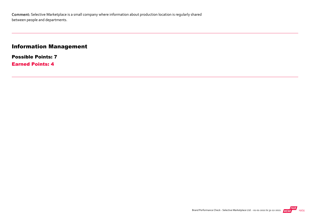#### Information Management

Possible Points: 7 Earned Points: 4

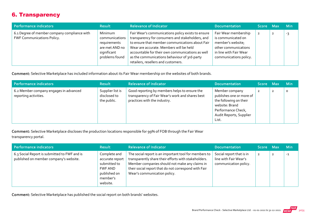#### 6. Transparency

| Performance indicators                                                     | <b>Result</b>                                                                                | <b>Relevance of Indicator</b>                                                                                                                                                                                                                                                                                                                   | <b>Documentation</b>                                                                                                                        | Score Max | <b>Min</b> |
|----------------------------------------------------------------------------|----------------------------------------------------------------------------------------------|-------------------------------------------------------------------------------------------------------------------------------------------------------------------------------------------------------------------------------------------------------------------------------------------------------------------------------------------------|---------------------------------------------------------------------------------------------------------------------------------------------|-----------|------------|
| 6.1 Degree of member company compliance with<br>FWF Communications Policy. | Minimum<br>communications<br>requirements<br>are met AND no<br>significant<br>problems found | Fair Wear's communications policy exists to ensure<br>transparency for consumers and stakeholders, and<br>to ensure that member communications about Fair<br>Wear are accurate. Members will be held<br>accountable for their own communications as well<br>as the communications behaviour of 3rd-party<br>retailers, resellers and customers. | Fair Wear membership<br>is communicated on<br>member's website;<br>other communications<br>in line with Fair Wear<br>communications policy. | -2        | -3         |

Comment: Selective Marketplace has included information about its Fair Wear membership on the websites of both brands.

| Performance indicators                                          | <b>Result</b>                                   | <b>Relevance of Indicator</b>                                                                                                     | <b>Documentation</b>                                                                                                                             | Score Max      | <b>Min</b> |
|-----------------------------------------------------------------|-------------------------------------------------|-----------------------------------------------------------------------------------------------------------------------------------|--------------------------------------------------------------------------------------------------------------------------------------------------|----------------|------------|
| 6.2 Member company engages in advanced<br>reporting activities. | Supplier list is<br>disclosed to<br>the public. | Good reporting by members helps to ensure the<br>transparency of Fair Wear's work and shares best<br>practices with the industry. | Member company<br>publishes one or more of<br>the following on their<br>website: Brand<br>Performance Check,<br>Audit Reports, Supplier<br>List. | $\overline{2}$ | $\circ$    |

Comment: Selective Marketplace discloses the production locations responsible for 99% of FOB through the Fair Wear transparency portal.

| Performance indicators                                                                 | <b>Result</b>                                                                                      | <b>Relevance of Indicator</b>                                                                                                                                                                                                                           | <b>Documentation</b>                                                       | <b>Score</b>   | - Max | <b>Min</b> |
|----------------------------------------------------------------------------------------|----------------------------------------------------------------------------------------------------|---------------------------------------------------------------------------------------------------------------------------------------------------------------------------------------------------------------------------------------------------------|----------------------------------------------------------------------------|----------------|-------|------------|
| 6.3 Social Report is submitted to FWF and is<br>published on member company's website. | Complete and<br>accurate report<br>submitted to<br>FWF AND<br>published on<br>member's<br>website. | The social report is an important tool for members to<br>transparently share their efforts with stakeholders.<br>Member companies should not make any claims in<br>their social report that do not correspond with Fair<br>Wear's communication policy. | Social report that is in<br>line with Fair Wear's<br>communication policy. | $\overline{2}$ | ◢     | $-1$       |

Comment: Selective Marketplace has published the social report on both brands' websites.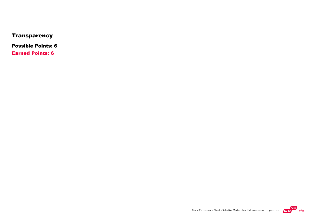## **Transparency**

Possible Points: 6

Earned Points: 6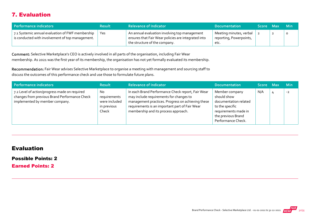#### 7. Evaluation

| Performance indicators                                                                               | <b>Result</b> | <b>Relevance of Indicator</b>                                                                                                         | <b>Documentation</b>                                       | Score Max |                | – Min   |
|------------------------------------------------------------------------------------------------------|---------------|---------------------------------------------------------------------------------------------------------------------------------------|------------------------------------------------------------|-----------|----------------|---------|
| 7.1 Systemic annual evaluation of FWF membership<br>is conducted with involvement of top management. | Yes           | An annual evaluation involving top management<br>ensures that Fair Wear policies are integrated into<br>the structure of the company. | Meeting minutes, verbal<br>reporting, Powerpoints,<br>etc. |           | $\overline{2}$ | $\circ$ |

Comment: Selective Marketplace's CEO is actively involved in all parts of the organisation, including Fair Wear membership. As 2021 was the first year of its membership, the organisation has not yet formally evaluated its membership.

Recommendation: Fair Wear advises Selective Marketplace to organise a meeting with management and sourcing staff to discuss the outcomes of this performance check and use those to formulate future plans.

| Performance indicators                                                                                                           | <b>Result</b>                                                | <b>Relevance of Indicator</b>                                                                                                                                                                                                               | <b>Documentation</b>                                                                                                                          | Score Max |   | <b>Min</b> |
|----------------------------------------------------------------------------------------------------------------------------------|--------------------------------------------------------------|---------------------------------------------------------------------------------------------------------------------------------------------------------------------------------------------------------------------------------------------|-----------------------------------------------------------------------------------------------------------------------------------------------|-----------|---|------------|
| 7.2 Level of action/progress made on required<br>changes from previous Brand Performance Check<br>implemented by member company. | No.<br>requirements<br>were included<br>in previous<br>Check | In each Brand Performance Check report, Fair Wear<br>may include requirements for changes to<br>management practices. Progress on achieving these<br>requirements is an important part of Fair Wear<br>membership and its process approach. | Member company<br>should show<br>documentation related<br>to the specific<br>requirements made in<br>the previous Brand<br>Performance Check. | N/A       | 4 | $-2$       |

#### Evaluation

Possible Points: 2

Earned Points: 2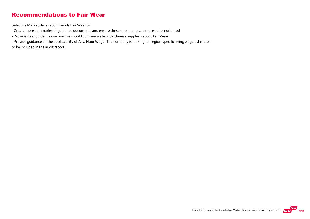#### Recommendations to Fair Wear

Selective Marketplace recommends Fair Wear to:

‐ Create more summaries of guidance documents and ensure these documents are more action‐oriented

‐ Provide clear guidelines on how we should communicate with Chinese suppliers about Fair Wear.

‐ Provide guidance on the applicability of Asia Floor Wage. The company is looking for region‐specific living wage estimates to be included in the audit report.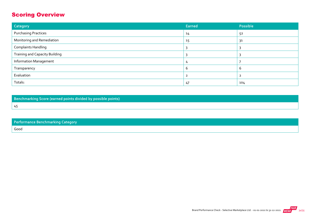## Scoring Overview

45

| Category                              | Earned | Possible |
|---------------------------------------|--------|----------|
| <b>Purchasing Practices</b>           | 14     | 52       |
| Monitoring and Remediation            | 15     | 31       |
| <b>Complaints Handling</b>            |        |          |
| <b>Training and Capacity Building</b> |        |          |
| <b>Information Management</b>         |        |          |
| Transparency                          | h      | b        |
| Evaluation                            |        |          |
| Totals:                               | 47     | 104      |

Benchmarking Score (earned points divided by possible points)

| Performance Benchmarking Category |  |  |
|-----------------------------------|--|--|
| Good                              |  |  |